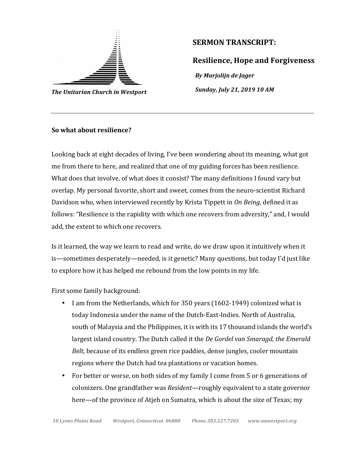

**The Unitarian Church in Westport** 

## **SERMON TRANSCRIPT:**

**Resilience, Hope and Forgiveness** *By Marjolijn de Jager Sunday, July 21, 2019 10 AM* 

## **So what about resilience?**

Looking back at eight decades of living, I've been wondering about its meaning, what got me from there to here, and realized that one of my guiding forces has been resilience. What does that involve, of what does it consist? The many definitions I found vary but overlap. My personal favorite, short and sweet, comes from the neuro-scientist Richard Davidson who, when interviewed recently by Krista Tippett in *On Being*, defined it as follows: "Resilience is the rapidity with which one recovers from adversity," and, I would add, the extent to which one recovers.

Is it learned, the way we learn to read and write, do we draw upon it intuitively when it is—sometimes desperately—needed, is it genetic? Many questions, but today I'd just like to explore how it has helped me rebound from the low points in my life.

First some family background:

- I am from the Netherlands, which for 350 years (1602-1949) colonized what is today Indonesia under the name of the Dutch-East-Indies. North of Australia, south of Malaysia and the Philippines, it is with its 17 thousand islands the world's largest island country. The Dutch called it the *De Gordel van Smaragd*, the *Emerald Belt*, because of its endless green rice paddies, dense jungles, cooler mountain regions where the Dutch had tea plantations or vacation homes.
- For better or worse, on both sides of my family I come from 5 or 6 generations of colonizers. One grandfather was *Resident*—roughly equivalent to a state governor here—of the province of Atieh on Sumatra, which is about the size of Texas; my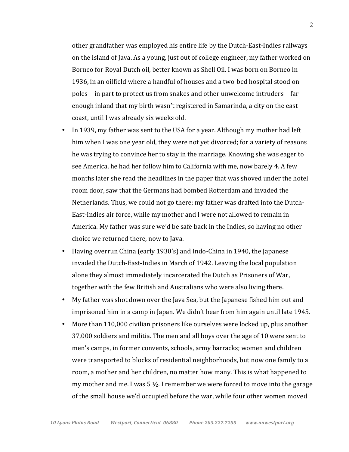other grandfather was employed his entire life by the Dutch-East-Indies railways on the island of Java. As a young, just out of college engineer, my father worked on Borneo for Royal Dutch oil, better known as Shell Oil. I was born on Borneo in 1936, in an oilfield where a handful of houses and a two-bed hospital stood on poles—in part to protect us from snakes and other unwelcome intruders—far enough inland that my birth wasn't registered in Samarinda, a city on the east coast, until I was already six weeks old.

- In 1939, my father was sent to the USA for a year. Although my mother had left him when I was one year old, they were not yet divorced; for a variety of reasons he was trying to convince her to stay in the marriage. Knowing she was eager to see America, he had her follow him to California with me, now barely 4. A few months later she read the headlines in the paper that was shoved under the hotel room door, saw that the Germans had bombed Rotterdam and invaded the Netherlands. Thus, we could not go there; my father was drafted into the Dutch-East-Indies air force, while my mother and I were not allowed to remain in America. My father was sure we'd be safe back in the Indies, so having no other choice we returned there, now to Java.
- Having overrun China (early 1930's) and Indo-China in 1940, the Japanese invaded the Dutch-East-Indies in March of 1942. Leaving the local population alone they almost immediately incarcerated the Dutch as Prisoners of War, together with the few British and Australians who were also living there.
- My father was shot down over the Java Sea, but the Japanese fished him out and imprisoned him in a camp in Japan. We didn't hear from him again until late 1945.
- More than 110,000 civilian prisoners like ourselves were locked up, plus another 37,000 soldiers and militia. The men and all boys over the age of 10 were sent to men's camps, in former convents, schools, army barracks; women and children were transported to blocks of residential neighborhoods, but now one family to a room, a mother and her children, no matter how many. This is what happened to my mother and me. I was  $5\frac{1}{2}$ . I remember we were forced to move into the garage of the small house we'd occupied before the war, while four other women moved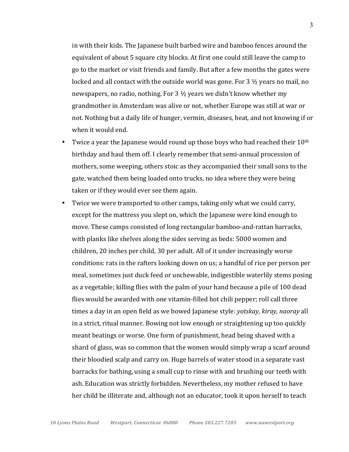in with their kids. The Japanese built barbed wire and bamboo fences around the equivalent of about 5 square city blocks. At first one could still leave the camp to go to the market or visit friends and family. But after a few months the gates were locked and all contact with the outside world was gone. For  $3\frac{1}{2}$  years no mail, no newspapers, no radio, nothing. For 3  $\frac{1}{2}$  years we didn't know whether my grandmother in Amsterdam was alive or not, whether Europe was still at war or not. Nothing but a daily life of hunger, vermin, diseases, heat, and not knowing if or when it would end.

- Twice a year the Japanese would round up those boys who had reached their  $10^{th}$ birthday and haul them off. I clearly remember that semi-annual procession of mothers, some weeping, others stoic as they accompanied their small sons to the gate, watched them being loaded onto trucks, no idea where they were being taken or if they would ever see them again.
- Twice we were transported to other camps, taking only what we could carry, except for the mattress you slept on, which the Japanese were kind enough to move. These camps consisted of long rectangular bamboo-and-rattan barracks, with planks like shelves along the sides serving as beds: 5000 women and children, 20 inches per child, 30 per adult. All of it under increasingly worse conditions: rats in the rafters looking down on us; a handful of rice per person per meal, sometimes just duck feed or unchewable, indigestible waterlily stems posing as a vegetable; killing flies with the palm of your hand because a pile of 100 dead flies would be awarded with one vitamin-filled hot chili pepper; roll call three times a day in an open field as we bowed Japanese style: *yotskay, kiray, naoray* all in a strict, ritual manner. Bowing not low enough or straightening up too quickly meant beatings or worse. One form of punishment, head being shaved with a shard of glass, was so common that the women would simply wrap a scarf around their bloodied scalp and carry on. Huge barrels of water stood in a separate vast barracks for bathing, using a small cup to rinse with and brushing our teeth with ash. Education was strictly forbidden. Nevertheless, my mother refused to have her child be illiterate and, although not an educator, took it upon herself to teach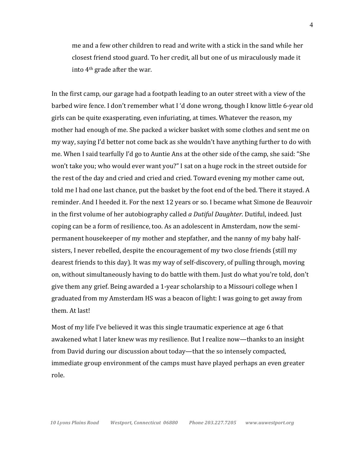me and a few other children to read and write with a stick in the sand while her closest friend stood guard. To her credit, all but one of us miraculously made it into  $4<sup>th</sup>$  grade after the war.

In the first camp, our garage had a footpath leading to an outer street with a view of the barbed wire fence. I don't remember what I 'd done wrong, though I know little 6-year old girls can be quite exasperating, even infuriating, at times. Whatever the reason, my mother had enough of me. She packed a wicker basket with some clothes and sent me on my way, saying I'd better not come back as she wouldn't have anything further to do with me. When I said tearfully I'd go to Auntie Ans at the other side of the camp, she said: "She won't take you; who would ever want you?" I sat on a huge rock in the street outside for the rest of the day and cried and cried and cried. Toward evening my mother came out, told me I had one last chance, put the basket by the foot end of the bed. There it stayed. A reminder. And I heeded it. For the next 12 years or so. I became what Simone de Beauvoir in the first volume of her autobiography called *a Dutiful Daughter*. Dutiful, indeed. Just coping can be a form of resilience, too. As an adolescent in Amsterdam, now the semipermanent housekeeper of my mother and stepfather, and the nanny of my baby halfsisters, I never rebelled, despite the encouragement of my two close friends (still my dearest friends to this day). It was my way of self-discovery, of pulling through, moving on, without simultaneously having to do battle with them. Just do what you're told, don't give them any grief. Being awarded a 1-year scholarship to a Missouri college when  $I$ graduated from my Amsterdam HS was a beacon of light: I was going to get away from them. At last!

Most of my life I've believed it was this single traumatic experience at age 6 that awakened what I later knew was my resilience. But I realize now—thanks to an insight from David during our discussion about today—that the so intensely compacted, immediate group environment of the camps must have played perhaps an even greater role.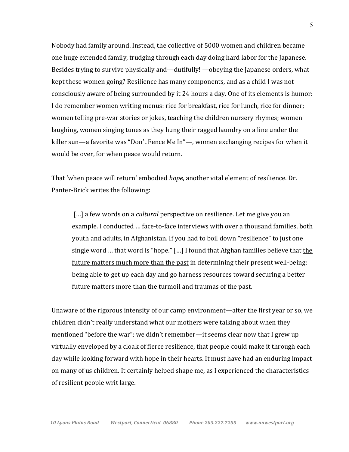Nobody had family around. Instead, the collective of 5000 women and children became one huge extended family, trudging through each day doing hard labor for the Japanese. Besides trying to survive physically and—dutifully! —obeying the Japanese orders, what kept these women going? Resilience has many components, and as a child I was not consciously aware of being surrounded by it 24 hours a day. One of its elements is humor: I do remember women writing menus: rice for breakfast, rice for lunch, rice for dinner; women telling pre-war stories or jokes, teaching the children nursery rhymes; women laughing, women singing tunes as they hung their ragged laundry on a line under the killer sun—a favorite was "Don't Fence Me In"—, women exchanging recipes for when it would be over, for when peace would return.

That 'when peace will return' embodied *hope*, another vital element of resilience. Dr. Panter-Brick writes the following:

[...] a few words on a *cultural* perspective on resilience. Let me give you an example. I conducted ... face-to-face interviews with over a thousand families, both youth and adults, in Afghanistan. If you had to boil down "resilience" to just one single word ... that word is "hope."  $\lceil ... \rceil$  I found that Afghan families believe that the future matters much more than the past in determining their present well-being: being able to get up each day and go harness resources toward securing a better future matters more than the turmoil and traumas of the past.

Unaware of the rigorous intensity of our camp environment—after the first year or so, we children didn't really understand what our mothers were talking about when they mentioned "before the war": we didn't remember—it seems clear now that I grew up virtually enveloped by a cloak of fierce resilience, that people could make it through each day while looking forward with hope in their hearts. It must have had an enduring impact on many of us children. It certainly helped shape me, as I experienced the characteristics of resilient people writ large.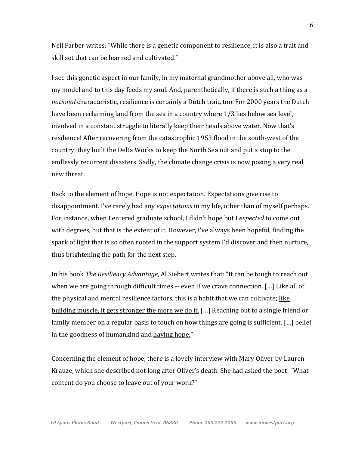Neil Farber writes: "While there is a genetic component to resilience, it is also a trait and skill set that can be learned and cultivated."

I see this genetic aspect in our family, in my maternal grandmother above all, who was my model and to this day feeds my soul. And, parenthetically, if there is such a thing as a *national* characteristic, resilience is certainly a Dutch trait, too. For 2000 years the Dutch have been reclaiming land from the sea in a country where 1/3 lies below sea level, involved in a constant struggle to literally keep their heads above water. Now that's resilience! After recovering from the catastrophic 1953 flood in the south-west of the country, they built the Delta Works to keep the North Sea out and put a stop to the endlessly recurrent disasters. Sadly, the climate change crisis is now posing a very real new threat. 

Back to the element of hope. Hope is not expectation. Expectations give rise to disappointment. I've rarely had any *expectations* in my life, other than of myself perhaps. For instance, when I entered graduate school, I didn't hope but I *expected* to come out with degrees, but that is the extent of it. However, I've always been hopeful, finding the spark of light that is so often rooted in the support system I'd discover and then nurture, thus brightening the path for the next step.

In his book *The Resiliency Advantage*, Al Siebert writes that: "It can be tough to reach out when we are going through difficult times  $-$  even if we crave connection. [...] Like all of the physical and mental resilience factors, this is a habit that we can cultivate; like building muscle, it gets stronger the more we do it. [...] Reaching out to a single friend or family member on a regular basis to touch on how things are going is sufficient. [...] belief in the goodness of humankind and having hope."

Concerning the element of hope, there is a lovely interview with Mary Oliver by Lauren Krauze, which she described not long after Oliver's death. She had asked the poet: "What content do you choose to leave out of your work?"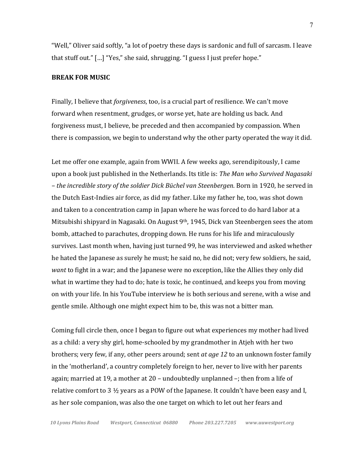"Well," Oliver said softly, "a lot of poetry these days is sardonic and full of sarcasm. I leave that stuff out." [...] "Yes," she said, shrugging. "I guess I just prefer hope."

## **BREAK FOR MUSIC**

Finally, I believe that *forgiveness*, too, is a crucial part of resilience. We can't move forward when resentment, grudges, or worse yet, hate are holding us back. And forgiveness must, I believe, be preceded and then accompanied by compassion. When there is compassion, we begin to understand why the other party operated the way it did.

Let me offer one example, again from WWII. A few weeks ago, serendipitously, I came upon a book just published in the Netherlands. Its title is: *The Man who Survived Nagasaki – the incredible story of the soldier Dick Büchel van Steenbergen.* Born in 1920, he served in the Dutch East-Indies air force, as did my father. Like my father he, too, was shot down and taken to a concentration camp in Japan where he was forced to do hard labor at a Mitsubishi shipyard in Nagasaki. On August  $9<sup>th</sup>$ , 1945, Dick van Steenbergen sees the atom bomb, attached to parachutes, dropping down. He runs for his life and miraculously survives. Last month when, having just turned 99, he was interviewed and asked whether he hated the Japanese as surely he must; he said no, he did not; very few soldiers, he said, *want* to fight in a war; and the Japanese were no exception, like the Allies they only did what in wartime they had to do; hate is toxic, he continued, and keeps you from moving on with your life. In his YouTube interview he is both serious and serene, with a wise and gentle smile. Although one might expect him to be, this was not a bitter man.

Coming full circle then, once I began to figure out what experiences my mother had lived as a child: a very shy girl, home-schooled by my grandmother in Atjeh with her two brothers; very few, if any, other peers around; sent *at age 12* to an unknown foster family in the 'motherland', a country completely foreign to her, never to live with her parents again; married at 19, a mother at  $20$  – undoubtedly unplanned  $-$ ; then from a life of relative comfort to 3  $\frac{1}{2}$  years as a POW of the Japanese. It couldn't have been easy and I, as her sole companion, was also the one target on which to let out her fears and